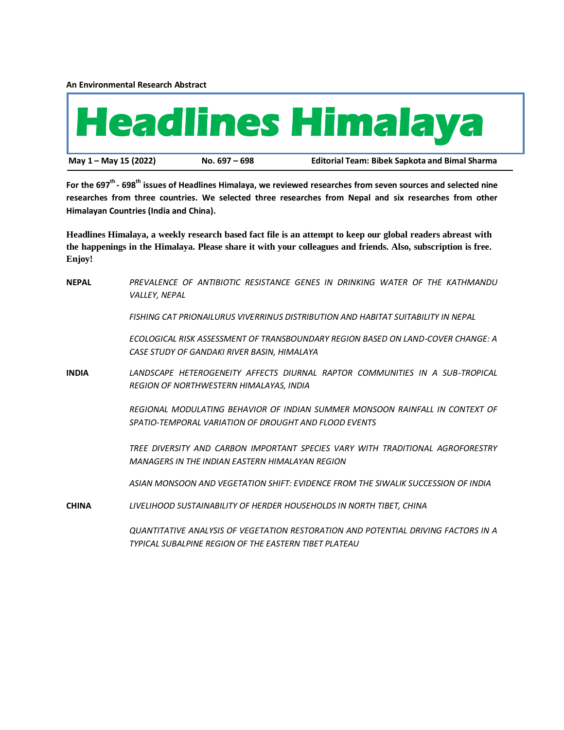**An Environmental Research Abstract**



**For the 697th - 698th issues of Headlines Himalaya, we reviewed researches from seven sources and selected nine researches from three countries. We selected three researches from Nepal and six researches from other Himalayan Countries (India and China).**

**Headlines Himalaya, a weekly research based fact file is an attempt to keep our global readers abreast with the happenings in the Himalaya. Please share it with your colleagues and friends. Also, subscription is free. Enjoy!**

| <b>NEPAL</b> | PREVALENCE OF ANTIBIOTIC RESISTANCE GENES IN DRINKING WATER OF THE KATHMANDU<br>VALLEY, NEPAL                                               |
|--------------|---------------------------------------------------------------------------------------------------------------------------------------------|
|              | FISHING CAT PRIONAILURUS VIVERRINUS DISTRIBUTION AND HABITAT SUITABILITY IN NEPAL                                                           |
|              | ECOLOGICAL RISK ASSESSMENT OF TRANSBOUNDARY REGION BASED ON LAND-COVER CHANGE: A<br>CASE STUDY OF GANDAKI RIVER BASIN, HIMALAYA             |
| <b>INDIA</b> | LANDSCAPE HETEROGENEITY AFFECTS DIURNAL RAPTOR COMMUNITIES IN A SUB-TROPICAL<br><b>REGION OF NORTHWESTERN HIMALAYAS, INDIA</b>              |
|              | REGIONAL MODULATING BEHAVIOR OF INDIAN SUMMER MONSOON RAINFALL IN CONTEXT OF<br>SPATIO-TEMPORAL VARIATION OF DROUGHT AND FLOOD EVENTS       |
|              | TREE DIVERSITY AND CARBON IMPORTANT SPECIES VARY WITH TRADITIONAL AGROFORESTRY<br>MANAGERS IN THE INDIAN EASTERN HIMALAYAN REGION           |
|              | ASIAN MONSOON AND VEGETATION SHIFT: EVIDENCE FROM THE SIWALIK SUCCESSION OF INDIA                                                           |
| <b>CHINA</b> | LIVELIHOOD SUSTAINABILITY OF HERDER HOUSEHOLDS IN NORTH TIBET, CHINA                                                                        |
|              | QUANTITATIVE ANALYSIS OF VEGETATION RESTORATION AND POTENTIAL DRIVING FACTORS IN A<br>TYPICAL SUBALPINE REGION OF THE EASTERN TIBET PLATEAU |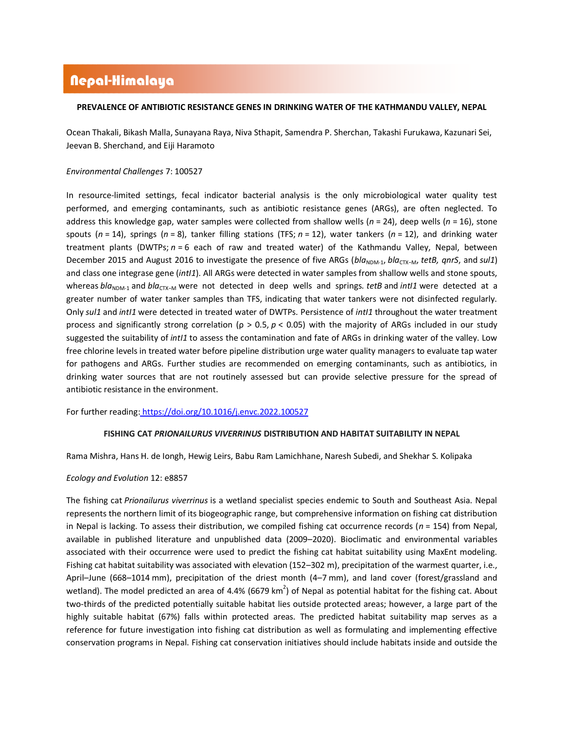# Nepal-Himalaya

## **PREVALENCE OF ANTIBIOTIC RESISTANCE GENES IN DRINKING WATER OF THE KATHMANDU VALLEY, NEPAL**

Ocean Thakali, Bikash Malla, Sunayana Raya, Niva Sthapit, Samendra P. Sherchan, Takashi Furukawa, Kazunari Sei, Jeevan B. Sherchand, and Eiji Haramoto

### *[Environmental Challenges](https://www.sciencedirect.com/journal/environmental-challenges)* 7: 100527

In resource-limited settings, fecal indicator bacterial analysis is the only microbiological water quality test performed, and emerging contaminants, such as antibiotic resistance genes (ARGs), are often neglected. To address this knowledge gap, water samples were collected from shallow wells (*n* = 24), deep wells (*n* = 16), stone spouts (*n* = 14), springs (*n* = 8), tanker filling stations (TFS; *n* = 12), water tankers (*n* = 12), and drinking water treatment plants (DWTPs; *n* = 6 each of raw and treated water) of the Kathmandu Valley, Nepal, between December 2015 and August 2016 to investigate the presence of five ARGs (*bla*<sub>NDM-1</sub>, *bla<sub>CTX</sub>*-<sub>M</sub>, *tetB, qnrS*, and *sul1*) and class one integrase gene (*intI1*). All ARGs were detected in water samples from shallow wells and stone spouts, whereas *bla*<sub>NDM-1</sub> and *bla*<sub>CTX−M</sub> were not detected in deep wells and springs. *tetB* and *intI1* were detected at a greater number of water tanker samples than TFS, indicating that water tankers were not disinfected regularly. Only *sul1* and *intI1* were detected in treated water of DWTPs. Persistence of *intI1* throughout the water treatment process and significantly strong correlation (ρ > 0.5, *p* < 0.05) with the majority of ARGs included in our study suggested the suitability of *intI1* to assess the contamination and fate of ARGs in drinking water of the valley. Low free chlorine levels in treated water before pipeline distribution urge water quality managers to evaluate tap water for pathogens and ARGs. Further studies are recommended on emerging contaminants, such as antibiotics, in drinking water sources that are not routinely assessed but can provide selective pressure for the spread of antibiotic resistance in the environment.

For further reading: <https://doi.org/10.1016/j.envc.2022.100527>

### **FISHING CAT** *PRIONAILURUS VIVERRINUS* **DISTRIBUTION AND HABITAT SUITABILITY IN NEPAL**

Rama [Mishra,](https://onlinelibrary.wiley.com/action/doSearch?ContribAuthorRaw=Mishra%2C+Rama) Hans H. de [Iongh,](https://onlinelibrary.wiley.com/action/doSearch?ContribAuthorRaw=de+Iongh%2C+Hans+H) [Hewig](https://onlinelibrary.wiley.com/action/doSearch?ContribAuthorRaw=Leirs%2C+Hewig) Leirs, Babu Ram [Lamichhane,](https://onlinelibrary.wiley.com/action/doSearch?ContribAuthorRaw=Lamichhane%2C+Babu+Ram) Naresh [Subedi,](https://onlinelibrary.wiley.com/action/doSearch?ContribAuthorRaw=Subedi%2C+Naresh) and Shekhar S. [Kolipaka](https://onlinelibrary.wiley.com/action/doSearch?ContribAuthorRaw=Kolipaka%2C+Shekhar+S)

### *Ecology and Evolution* 12: e8857

The fishing cat *Prionailurus viverrinus* is a wetland specialist species endemic to South and Southeast Asia. Nepal represents the northern limit of its biogeographic range, but comprehensive information on fishing cat distribution in Nepal is lacking. To assess their distribution, we compiled fishing cat occurrence records (*n* = 154) from Nepal, available in published literature and unpublished data (2009–2020). Bioclimatic and environmental variables associated with their occurrence were used to predict the fishing cat habitat suitability using MaxEnt modeling. Fishing cat habitat suitability was associated with elevation (152–302 m), precipitation of the warmest quarter, i.e., April–June (668–1014 mm), precipitation of the driest month (4–7 mm), and land cover (forest/grassland and wetland). The model predicted an area of 4.4% (6679 km<sup>2</sup>) of Nepal as potential habitat for the fishing cat. About two-thirds of the predicted potentially suitable habitat lies outside protected areas; however, a large part of the highly suitable habitat (67%) falls within protected areas. The predicted habitat suitability map serves as a reference for future investigation into fishing cat distribution as well as formulating and implementing effective conservation programs in Nepal. Fishing cat conservation initiatives should include habitats inside and outside the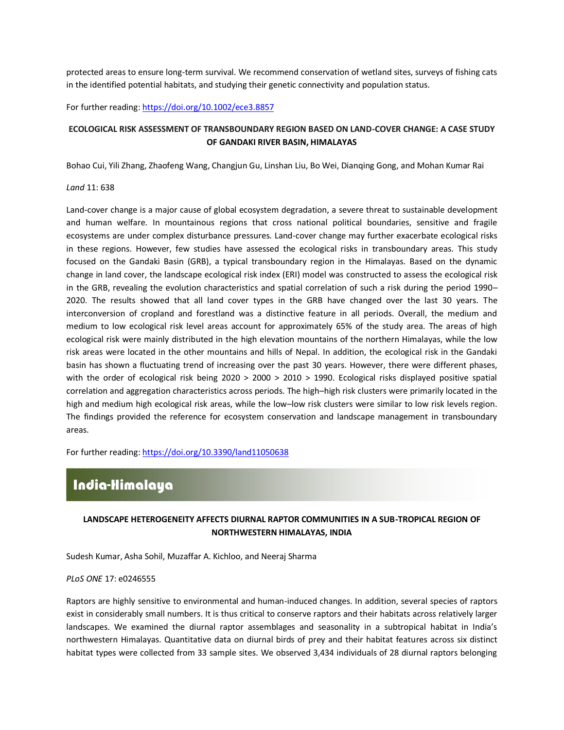protected areas to ensure long-term survival. We recommend conservation of wetland sites, surveys of fishing cats in the identified potential habitats, and studying their genetic connectivity and population status.

For further reading[: https://doi.org/10.1002/ece3.8857](https://doi.org/10.1002/ece3.8857)

# **ECOLOGICAL RISK ASSESSMENT OF TRANSBOUNDARY REGION BASED ON LAND-COVER CHANGE: A CASE STUDY OF GANDAKI RIVER BASIN, HIMALAYAS**

Bohao Cui, Yili Zhang, Zhaofeng Wang, Changjun Gu, Linshan Liu, Bo Wei, Dianqing Gong, and Mohan Kumar Rai

### *Land* 11: 638

Land-cover change is a major cause of global ecosystem degradation, a severe threat to sustainable development and human welfare. In mountainous regions that cross national political boundaries, sensitive and fragile ecosystems are under complex disturbance pressures. Land-cover change may further exacerbate ecological risks in these regions. However, few studies have assessed the ecological risks in transboundary areas. This study focused on the Gandaki Basin (GRB), a typical transboundary region in the Himalayas. Based on the dynamic change in land cover, the landscape ecological risk index (ERI) model was constructed to assess the ecological risk in the GRB, revealing the evolution characteristics and spatial correlation of such a risk during the period 1990– 2020. The results showed that all land cover types in the GRB have changed over the last 30 years. The interconversion of cropland and forestland was a distinctive feature in all periods. Overall, the medium and medium to low ecological risk level areas account for approximately 65% of the study area. The areas of high ecological risk were mainly distributed in the high elevation mountains of the northern Himalayas, while the low risk areas were located in the other mountains and hills of Nepal. In addition, the ecological risk in the Gandaki basin has shown a fluctuating trend of increasing over the past 30 years. However, there were different phases, with the order of ecological risk being 2020 > 2000 > 2010 > 1990. Ecological risks displayed positive spatial correlation and aggregation characteristics across periods. The high–high risk clusters were primarily located in the high and medium high ecological risk areas, while the low–low risk clusters were similar to low risk levels region. The findings provided the reference for ecosystem conservation and landscape management in transboundary areas.

For further reading[: https://doi.org/10.3390/land11050638](https://doi.org/10.3390/land11050638)

# India-Himalaya

# **LANDSCAPE HETEROGENEITY AFFECTS DIURNAL RAPTOR COMMUNITIES IN A SUB-TROPICAL REGION OF NORTHWESTERN HIMALAYAS, INDIA**

Sudesh Kumar, Asha Sohil, Muzaffar A. Kichloo, and Neeraj Sharma

#### *PLoS ONE* 17: e0246555

Raptors are highly sensitive to environmental and human-induced changes. In addition, several species of raptors exist in considerably small numbers. It is thus critical to conserve raptors and their habitats across relatively larger landscapes. We examined the diurnal raptor assemblages and seasonality in a subtropical habitat in India's northwestern Himalayas. Quantitative data on diurnal birds of prey and their habitat features across six distinct habitat types were collected from 33 sample sites. We observed 3,434 individuals of 28 diurnal raptors belonging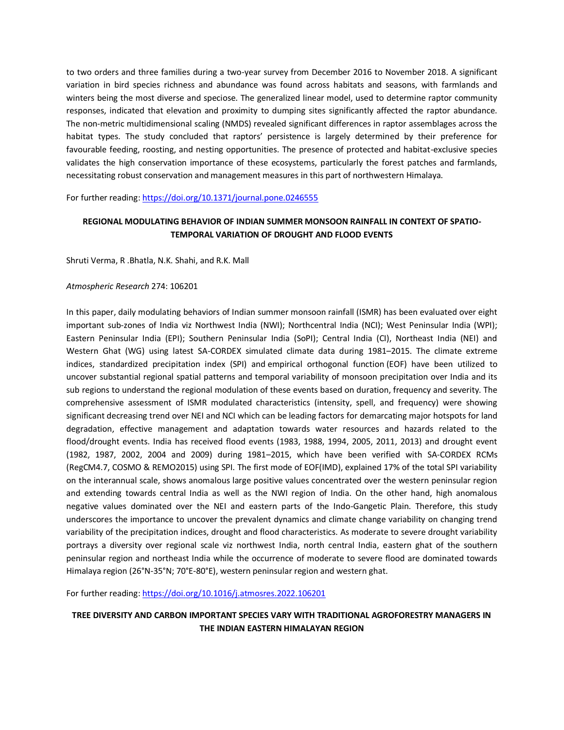to two orders and three families during a two-year survey from December 2016 to November 2018. A significant variation in bird species richness and abundance was found across habitats and seasons, with farmlands and winters being the most diverse and speciose. The generalized linear model, used to determine raptor community responses, indicated that elevation and proximity to dumping sites significantly affected the raptor abundance. The non-metric multidimensional scaling (NMDS) revealed significant differences in raptor assemblages across the habitat types. The study concluded that raptors' persistence is largely determined by their preference for favourable feeding, roosting, and nesting opportunities. The presence of protected and habitat-exclusive species validates the high conservation importance of these ecosystems, particularly the forest patches and farmlands, necessitating robust conservation and management measures in this part of northwestern Himalaya.

For further reading[: https://doi.org/10.1371/journal.pone.0246555](https://doi.org/10.1371/journal.pone.0246555)

# **REGIONAL MODULATING BEHAVIOR OF INDIAN SUMMER MONSOON RAINFALL IN CONTEXT OF SPATIO-TEMPORAL VARIATION OF DROUGHT AND FLOOD EVENTS**

Shruti Verma, R .Bhatla, N.K. Shahi, and R.K. Mall

### *Atmospheric Research* 274: 106201

In this paper, daily modulating behaviors of Indian summer [monsoon](https://www.sciencedirect.com/topics/earth-and-planetary-sciences/monsoon) rainfall (ISMR) has been evaluated over eight important sub-zones of India viz Northwest India (NWI); Northcentral India (NCI); West Peninsular India (WPI); Eastern Peninsular India (EPI); Southern Peninsular India (SoPI); Central India (CI), Northeast India (NEI) and Western Ghat (WG) using latest SA-CORDEX simulated climate data during 1981–2015. The climate extreme indices, standardized precipitation index (SPI) and [empirical orthogonal function](https://www.sciencedirect.com/topics/earth-and-planetary-sciences/empirical-orthogonal-function-analysis) (EOF) have been utilized to uncover substantial regional spatial patterns and temporal variability of monsoon precipitation over India and its sub regions to understand the regional modulation of these events based on duration, frequency and severity. The comprehensive assessment of ISMR modulated characteristics (intensity, spell, and frequency) were showing significant decreasing trend over NEI and NCI which can be leading factors for demarcating major hotspots for [land](https://www.sciencedirect.com/topics/earth-and-planetary-sciences/land-degradation)  [degradation,](https://www.sciencedirect.com/topics/earth-and-planetary-sciences/land-degradation) effective management and adaptation towards water resources and hazards related to the flood/drought events. India has received flood events (1983, 1988, 1994, 2005, 2011, 2013) and drought event (1982, 1987, 2002, 2004 and 2009) during 1981–2015, which have been verified with SA-CORDEX RCMs (RegCM4.7, COSMO & REMO2015) using SPI. The first mode of EOF(IMD), explained 17% of the total SPI variability on the interannual scale, shows anomalous large positive values concentrated over the western peninsular region and extending towards central India as well as the NWI region of India. On the other hand, high anomalous negative values dominated over the NEI and eastern parts of the Indo-Gangetic Plain. Therefore, this study underscores the importance to uncover the prevalent dynamics and climate change variability on changing trend variability of the precipitation indices, drought and flood characteristics. As moderate to severe drought variability portrays a diversity over regional scale viz northwest India, north central India, eastern ghat of the southern peninsular region and northeast India while the occurrence of moderate to severe flood are dominated towards Himalaya region (26°N-35°N; 70°E-80°E), western peninsular region and western ghat.

For further reading[: https://doi.org/10.1016/j.atmosres.2022.106201](https://doi.org/10.1016/j.atmosres.2022.106201)

# **TREE DIVERSITY AND CARBON IMPORTANT SPECIES VARY WITH TRADITIONAL AGROFORESTRY MANAGERS IN THE INDIAN EASTERN HIMALAYAN REGION**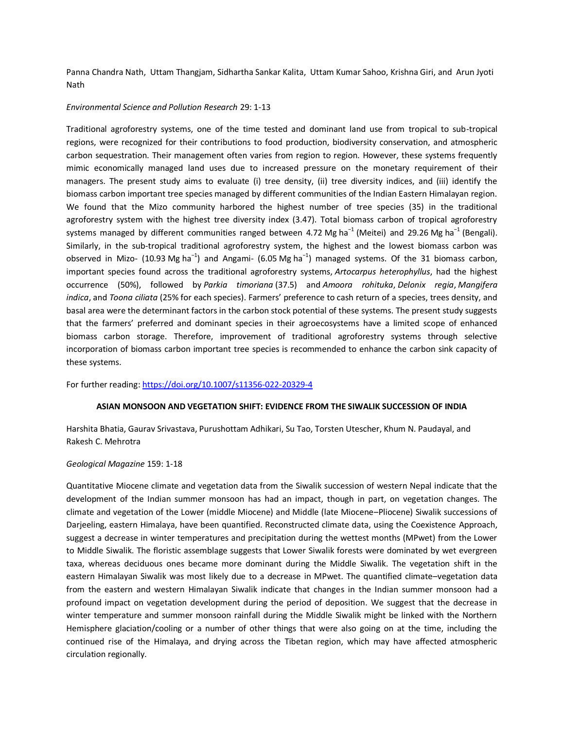[Panna Chandra Nath,](https://link.springer.com/article/10.1007/s11356-022-20329-4#auth-Panna_Chandra-Nath) [Uttam Thangjam,](https://link.springer.com/article/10.1007/s11356-022-20329-4#auth-Uttam-Thangjam) [Sidhartha Sankar Kalita,](https://link.springer.com/article/10.1007/s11356-022-20329-4#auth-Sidhartha_Sankar-Kalita) [Uttam Kumar Sahoo,](https://link.springer.com/article/10.1007/s11356-022-20329-4#auth-Uttam_Kumar-Sahoo) [Krishna Giri,](https://link.springer.com/article/10.1007/s11356-022-20329-4#auth-Krishna-Giri) and [Arun Jyoti](https://link.springer.com/article/10.1007/s11356-022-20329-4#auth-Arun_Jyoti-Nath)  [Nath](https://link.springer.com/article/10.1007/s11356-022-20329-4#auth-Arun_Jyoti-Nath)

#### *[Environmental Science and Pollution Research](https://link.springer.com/journal/11356)* 29: 1-13

Traditional agroforestry systems, one of the time tested and dominant land use from tropical to sub-tropical regions, were recognized for their contributions to food production, biodiversity conservation, and atmospheric carbon sequestration. Their management often varies from region to region. However, these systems frequently mimic economically managed land uses due to increased pressure on the monetary requirement of their managers. The present study aims to evaluate (i) tree density, (ii) tree diversity indices, and (iii) identify the biomass carbon important tree species managed by different communities of the Indian Eastern Himalayan region. We found that the Mizo community harbored the highest number of tree species (35) in the traditional agroforestry system with the highest tree diversity index (3.47). Total biomass carbon of tropical agroforestry systems managed by different communities ranged between 4.72 Mg ha<sup>-1</sup> (Meitei) and 29.26 Mg ha<sup>-1</sup> (Bengali). Similarly, in the sub-tropical traditional agroforestry system, the highest and the lowest biomass carbon was observed in Mizo- (10.93 Mg ha<sup>-1</sup>) and Angami- (6.05 Mg ha<sup>-1</sup>) managed systems. Of the 31 biomass carbon, important species found across the traditional agroforestry systems, *Artocarpus heterophyllus*, had the highest occurrence (50%), followed by *Parkia timoriana* (37.5) and *Amoora rohituka*, *Delonix regia*, *Mangifera indica*, and *Toona ciliata* (25% for each species). Farmers' preference to cash return of a species, trees density, and basal area were the determinant factors in the carbon stock potential of these systems. The present study suggests that the farmers' preferred and dominant species in their agroecosystems have a limited scope of enhanced biomass carbon storage. Therefore, improvement of traditional agroforestry systems through selective incorporation of biomass carbon important tree species is recommended to enhance the carbon sink capacity of these systems.

For further reading[: https://doi.org/10.1007/s11356-022-20329-4](https://doi.org/10.1007/s11356-022-20329-4)

### **ASIAN MONSOON AND VEGETATION SHIFT: EVIDENCE FROM THE SIWALIK SUCCESSION OF INDIA**

[Harshita](https://www.cambridge.org/core/search?filters%5BauthorTerms%5D=Harshita%20Bhatia&eventCode=SE-AU) Bhatia, Gaurav [Srivastava,](https://www.cambridge.org/core/search?filters%5BauthorTerms%5D=Gaurav%20Srivastava&eventCode=SE-AU) [Purushottam](https://www.cambridge.org/core/search?filters%5BauthorTerms%5D=Purushottam%20Adhikari&eventCode=SE-AU) Adhikari, Su Tao, Torsten [Utescher,](https://www.cambridge.org/core/search?filters%5BauthorTerms%5D=Torsten%20Utescher&eventCode=SE-AU) Khum N. [Paudayal,](https://www.cambridge.org/core/search?filters%5BauthorTerms%5D=Khum%20N.%20Paudayal&eventCode=SE-AU) and Rakesh C. [Mehrotra](https://www.cambridge.org/core/search?filters%5BauthorTerms%5D=Rakesh%20C.%20Mehrotra&eventCode=SE-AU)

#### *Geological Magazine* 159: 1-18

Quantitative Miocene climate and vegetation data from the Siwalik succession of western Nepal indicate that the development of the Indian summer monsoon has had an impact, though in part, on vegetation changes. The climate and vegetation of the Lower (middle Miocene) and Middle (late Miocene–Pliocene) Siwalik successions of Darjeeling, eastern Himalaya, have been quantified. Reconstructed climate data, using the Coexistence Approach, suggest a decrease in winter temperatures and precipitation during the wettest months (MPwet) from the Lower to Middle Siwalik. The floristic assemblage suggests that Lower Siwalik forests were dominated by wet evergreen taxa, whereas deciduous ones became more dominant during the Middle Siwalik. The vegetation shift in the eastern Himalayan Siwalik was most likely due to a decrease in MPwet. The quantified climate–vegetation data from the eastern and western Himalayan Siwalik indicate that changes in the Indian summer monsoon had a profound impact on vegetation development during the period of deposition. We suggest that the decrease in winter temperature and summer monsoon rainfall during the Middle Siwalik might be linked with the Northern Hemisphere glaciation/cooling or a number of other things that were also going on at the time, including the continued rise of the Himalaya, and drying across the Tibetan region, which may have affected atmospheric circulation regionally.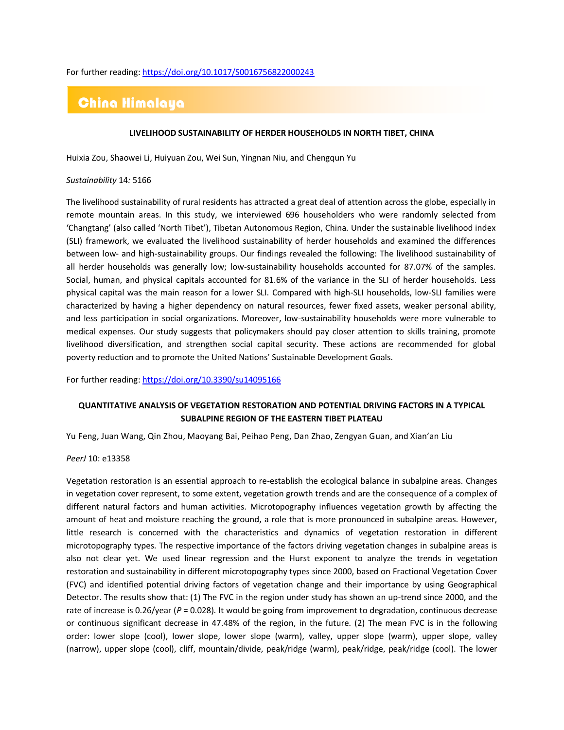For further reading[: https://doi.org/10.1017/S0016756822000243](https://doi.org/10.1017/S0016756822000243)

# China Himalaya

## **LIVELIHOOD SUSTAINABILITY OF HERDER HOUSEHOLDS IN NORTH TIBET, CHINA**

[Huixia Zou,](https://sciprofiles.com/profile/author/WHl0cmhYelhBenVBaVRldW4zeUZESnB6NDRFd012b2Z6c0Jma3NvNDlLRT0=) [Shaowei Li,](https://sciprofiles.com/profile/author/UzVYbElKeUl0bHY5Y1VobCsvZ1BwZzFlb0VmbmNtSkhLTWJrcFJnUTEwVT0=) [Huiyuan Zou,](https://sciprofiles.com/profile/author/eTk1bWNIS01Cc2NvaWRHaFZRaEkxUzlnQy8wTU14VTVoODlGUHdQOWtOQT0=) [Wei Sun,](https://sciprofiles.com/profile/author/Z1hiN3VKNllxMlJiajRqMk94V1VJNTQ1c0ZlMHlQWDV2MVBUVGZhNW9NST0=) [Yingnan Niu,](https://sciprofiles.com/profile/author/eEFmY1lzRU40V3RXUjhGbVBMeXZuRVdIOTEyblFhWkpTRlorR3JPOVNBaz0=) and [Chengqun Yu](https://sciprofiles.com/profile/673290)

#### *Sustainability* 14*:* 5166

The livelihood sustainability of rural residents has attracted a great deal of attention across the globe, especially in remote mountain areas. In this study, we interviewed 696 householders who were randomly selected from 'Changtang' (also called 'North Tibet'), Tibetan Autonomous Region, China. Under the sustainable livelihood index (SLI) framework, we evaluated the livelihood sustainability of herder households and examined the differences between low- and high-sustainability groups. Our findings revealed the following: The livelihood sustainability of all herder households was generally low; low-sustainability households accounted for 87.07% of the samples. Social, human, and physical capitals accounted for 81.6% of the variance in the SLI of herder households. Less physical capital was the main reason for a lower SLI. Compared with high-SLI households, low-SLI families were characterized by having a higher dependency on natural resources, fewer fixed assets, weaker personal ability, and less participation in social organizations. Moreover, low-sustainability households were more vulnerable to medical expenses. Our study suggests that policymakers should pay closer attention to skills training, promote livelihood diversification, and strengthen social capital security. These actions are recommended for global poverty reduction and to promote the United Nations' Sustainable Development Goals.

For further reading[: https://doi.org/10.3390/su14095166](https://doi.org/10.3390/su14095166)

# **QUANTITATIVE ANALYSIS OF VEGETATION RESTORATION AND POTENTIAL DRIVING FACTORS IN A TYPICAL SUBALPINE REGION OF THE EASTERN TIBET PLATEAU**

Yu [Feng,](https://peerj.com/articles/13358/author-1) Juan [Wang,](https://peerj.com/articles/13358/author-2) Qin [Zhou,](https://peerj.com/articles/13358/author-3) [Maoyang](https://peerj.com/articles/13358/author-4) Bai, [Peihao](https://peerj.com/articles/13358/author-5) Peng, Dan [Zhao,](https://peerj.com/articles/13358/author-6) [Zengyan](https://peerj.com/articles/13358/author-7) Guan, and [Xian'an](https://peerj.com/articles/13358/author-8) Liu

### *PeerJ* 10: e13358

Vegetation restoration is an essential approach to re-establish the ecological balance in subalpine areas. Changes in vegetation cover represent, to some extent, vegetation growth trends and are the consequence of a complex of different natural factors and human activities. Microtopography influences vegetation growth by affecting the amount of heat and moisture reaching the ground, a role that is more pronounced in subalpine areas. However, little research is concerned with the characteristics and dynamics of vegetation restoration in different microtopography types. The respective importance of the factors driving vegetation changes in subalpine areas is also not clear yet. We used linear regression and the Hurst exponent to analyze the trends in vegetation restoration and sustainability in different microtopography types since 2000, based on Fractional Vegetation Cover (FVC) and identified potential driving factors of vegetation change and their importance by using Geographical Detector. The results show that: (1) The FVC in the region under study has shown an up-trend since 2000, and the rate of increase is 0.26/year (*P* = 0.028). It would be going from improvement to degradation, continuous decrease or continuous significant decrease in 47.48% of the region, in the future. (2) The mean FVC is in the following order: lower slope (cool), lower slope, lower slope (warm), valley, upper slope (warm), upper slope, valley (narrow), upper slope (cool), cliff, mountain/divide, peak/ridge (warm), peak/ridge, peak/ridge (cool). The lower